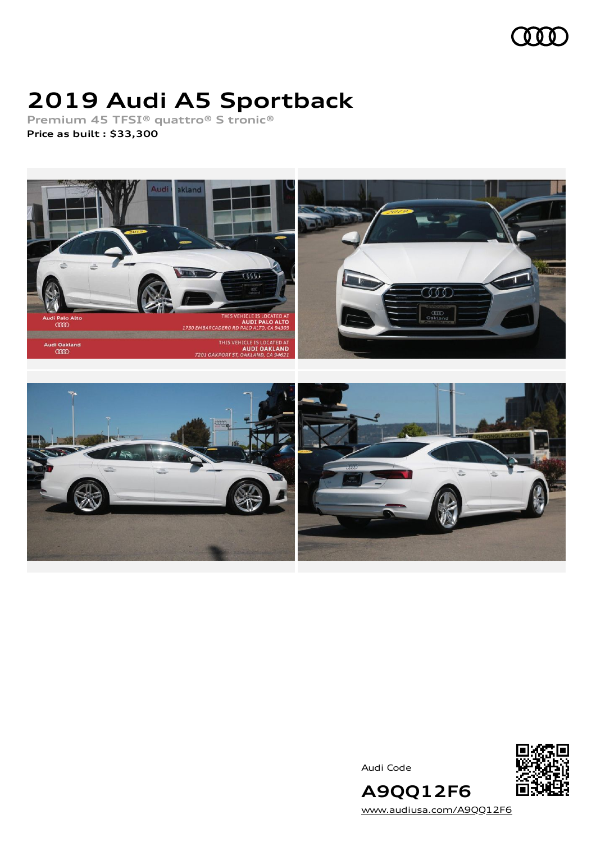

# **2019 Audi A5 Sportback**

**Premium 45 TFSI® quattro® S tronic®**

**Price as built [:](#page-9-0) \$33,300**





Audi Code



[www.audiusa.com/A9QQ12F6](https://www.audiusa.com/A9QQ12F6)

**A9QQ12F6**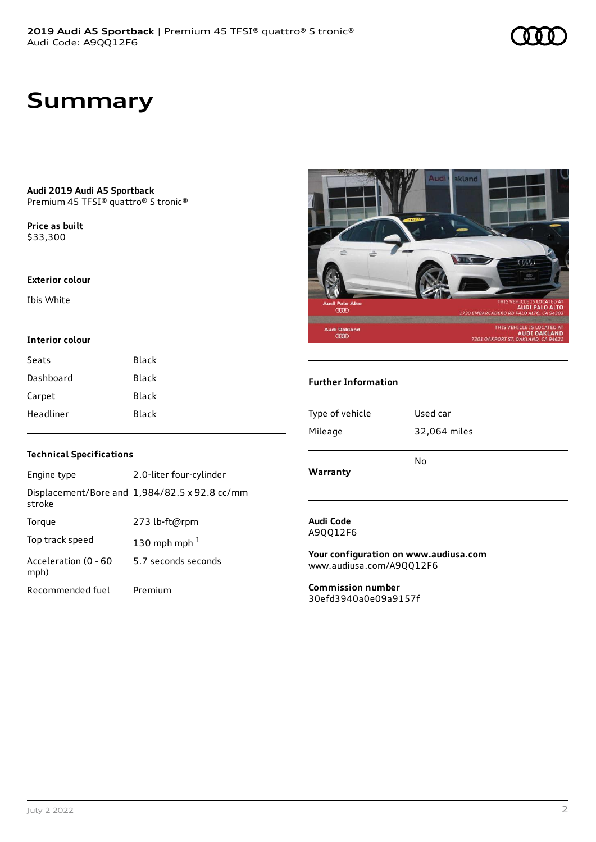# **Summary**

**Audi 2019 Audi A5 Sportback** Premium 45 TFSI® quattro® S tronic®

**Price as buil[t](#page-9-0)** \$33,300

#### **Exterior colour**

Ibis White

#### **Interior colour**

| Seats     | Black        |
|-----------|--------------|
| Dashboard | <b>Black</b> |
| Carpet    | <b>Black</b> |
| Headliner | Black        |



#### **Further Information**

| Type of vehicle | Used car     |
|-----------------|--------------|
| Mileage         | 32,064 miles |
| Warranty        | No           |

#### **Audi Code** A9QQ12F6

**Your configuration on www.audiusa.com** [www.audiusa.com/A9QQ12F6](https://www.audiusa.com/A9QQ12F6)

**Commission number** 30efd3940a0e09a9157f

### **Technical Specifications**

| Engine type                  | 2.0-liter four-cylinder                       |
|------------------------------|-----------------------------------------------|
| stroke                       | Displacement/Bore and 1,984/82.5 x 92.8 cc/mm |
| Torque                       | 273 lb-ft@rpm                                 |
| Top track speed              | 130 mph mph $1$                               |
| Acceleration (0 - 60<br>mph) | 5.7 seconds seconds                           |
| Recommended fuel             | Premium                                       |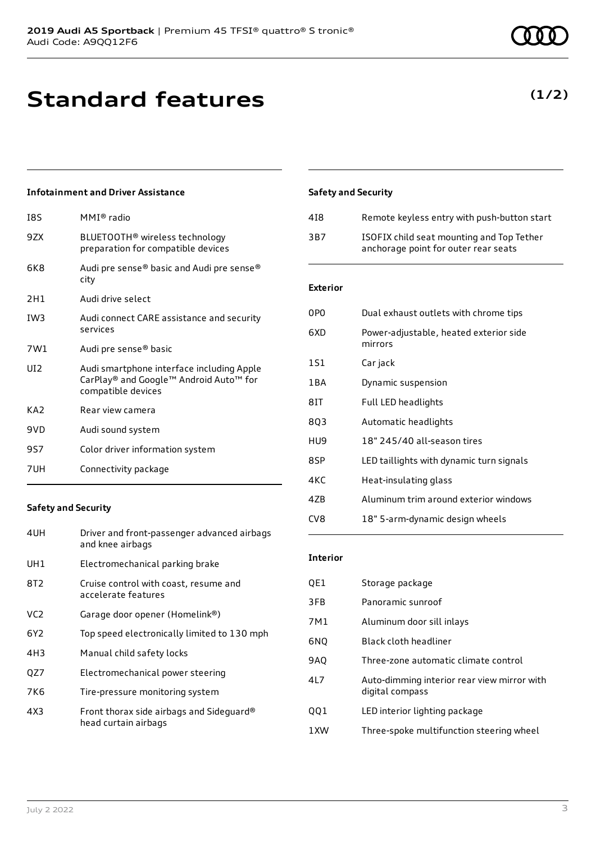# **Standard features**

### **Infotainment and Driver Assistance**

| 18S | MMI® radio                                                                                                |
|-----|-----------------------------------------------------------------------------------------------------------|
| 9ZX | BLUETOOTH <sup>®</sup> wireless technology<br>preparation for compatible devices                          |
| 6K8 | Audi pre sense® basic and Audi pre sense®<br>city                                                         |
| 2H1 | Audi drive select                                                                                         |
| IW3 | Audi connect CARE assistance and security<br>services                                                     |
| 7W1 | Audi pre sense® basic                                                                                     |
| UT2 | Audi smartphone interface including Apple<br>CarPlay® and Google™ Android Auto™ for<br>compatible devices |
| KA2 | Rear view camera                                                                                          |
| 9VD | Audi sound system                                                                                         |
| 9S7 | Color driver information system                                                                           |
| 7UH | Connectivity package                                                                                      |
|     |                                                                                                           |

#### **Safety and Security**

| Driver and front-passenger advanced airbags<br>and knee airbags  |
|------------------------------------------------------------------|
| Electromechanical parking brake                                  |
| Cruise control with coast, resume and<br>accelerate features     |
| Garage door opener (Homelink®)                                   |
| Top speed electronically limited to 130 mph                      |
| Manual child safety locks                                        |
| Electromechanical power steering                                 |
| Tire-pressure monitoring system                                  |
| Front thorax side airbags and Sideguard®<br>head curtain airbags |
|                                                                  |

## July 2 2022 3

### **Safety and Security**

| 418 | Remote keyless entry with push-button start                                       |
|-----|-----------------------------------------------------------------------------------|
| 3B7 | ISOFIX child seat mounting and Top Tether<br>anchorage point for outer rear seats |

### **Exterior**

| 0PO   | Dual exhaust outlets with chrome tips             |
|-------|---------------------------------------------------|
| 6XD   | Power-adjustable, heated exterior side<br>mirrors |
| 1S1   | Car jack                                          |
| 1 B A | Dynamic suspension                                |
| 81T   | Full LED headlights                               |
| 803   | Automatic headlights                              |
| HU9   | 18" 245/40 all-season tires                       |
| 8SP   | LED taillights with dynamic turn signals          |
| 4KC   | Heat-insulating glass                             |
| 47B   | Aluminum trim around exterior windows             |
| CV8   | 18" 5-arm-dynamic design wheels                   |

#### **Interior**

| QE1 | Storage package                                                |
|-----|----------------------------------------------------------------|
| 3FB | Panoramic sunroof                                              |
| 7M1 | Aluminum door sill inlays                                      |
| 6NQ | Black cloth headliner                                          |
| 9AQ | Three-zone automatic climate control                           |
| 4L7 | Auto-dimming interior rear view mirror with<br>digital compass |
| QQ1 | LED interior lighting package                                  |
| 1XW | Three-spoke multifunction steering wheel                       |
|     |                                                                |

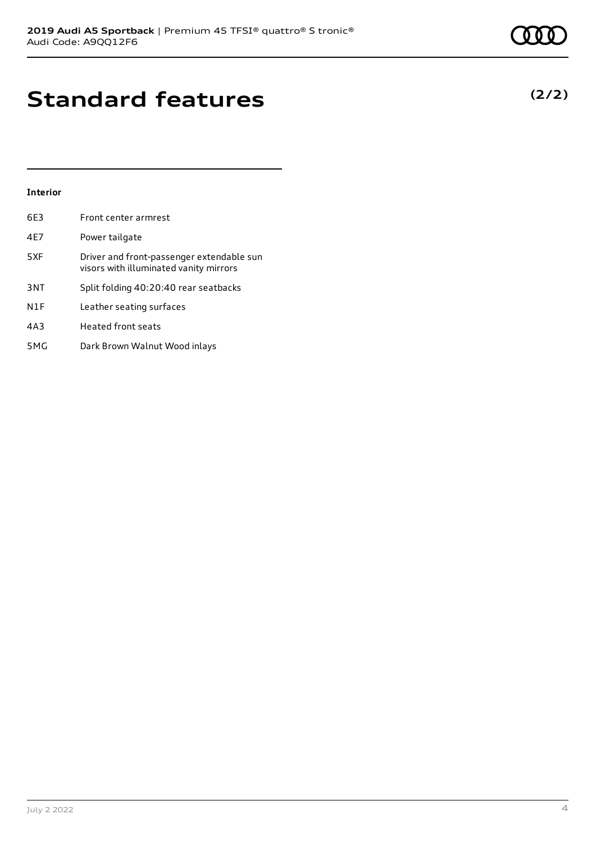# **Standard features**

### **Interior**

| 6E3             | Front center armrest                                                                |
|-----------------|-------------------------------------------------------------------------------------|
| 4E7             | Power tailgate                                                                      |
| 5XF             | Driver and front-passenger extendable sun<br>visors with illuminated vanity mirrors |
| 3 <sub>NT</sub> | Split folding 40:20:40 rear seatbacks                                               |
| N1F             | Leather seating surfaces                                                            |
| 4A3             | <b>Heated front seats</b>                                                           |
| 5MG             | Dark Brown Walnut Wood inlays                                                       |

July 2 2022 4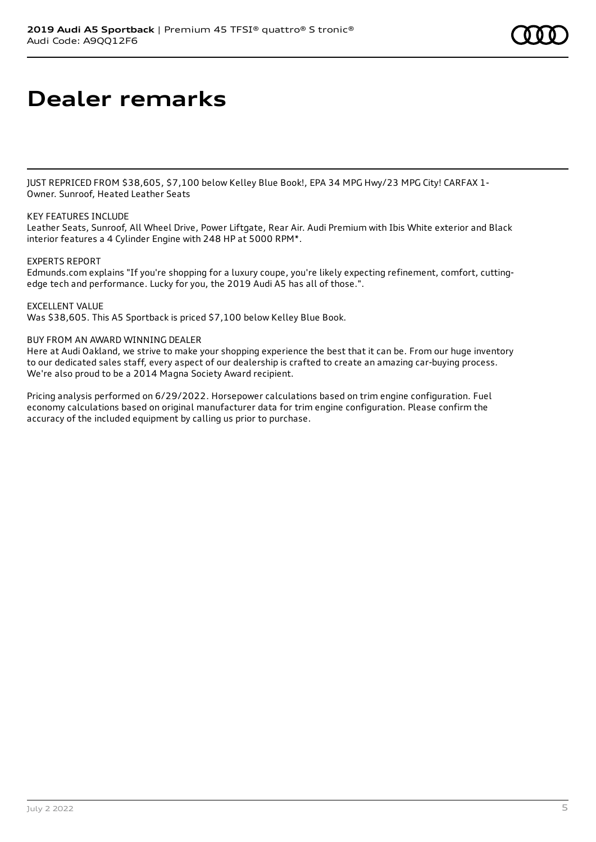# **Dealer remarks**

JUST REPRICED FROM \$38,605, \$7,100 below Kelley Blue Book!, EPA 34 MPG Hwy/23 MPG City! CARFAX 1- Owner. Sunroof, Heated Leather Seats

### KEY FEATURES INCLUDE

Leather Seats, Sunroof, All Wheel Drive, Power Liftgate, Rear Air. Audi Premium with Ibis White exterior and Black interior features a 4 Cylinder Engine with 248 HP at 5000 RPM\*.

### EXPERTS REPORT

Edmunds.com explains "If you're shopping for a luxury coupe, you're likely expecting refinement, comfort, cuttingedge tech and performance. Lucky for you, the 2019 Audi A5 has all of those.".

EXCELLENT VALUE

Was \$38,605. This A5 Sportback is priced \$7,100 below Kelley Blue Book.

### BUY FROM AN AWARD WINNING DEALER

Here at Audi Oakland, we strive to make your shopping experience the best that it can be. From our huge inventory to our dedicated sales staff, every aspect of our dealership is crafted to create an amazing car-buying process. We're also proud to be a 2014 Magna Society Award recipient.

Pricing analysis performed on 6/29/2022. Horsepower calculations based on trim engine configuration. Fuel economy calculations based on original manufacturer data for trim engine configuration. Please confirm the accuracy of the included equipment by calling us prior to purchase.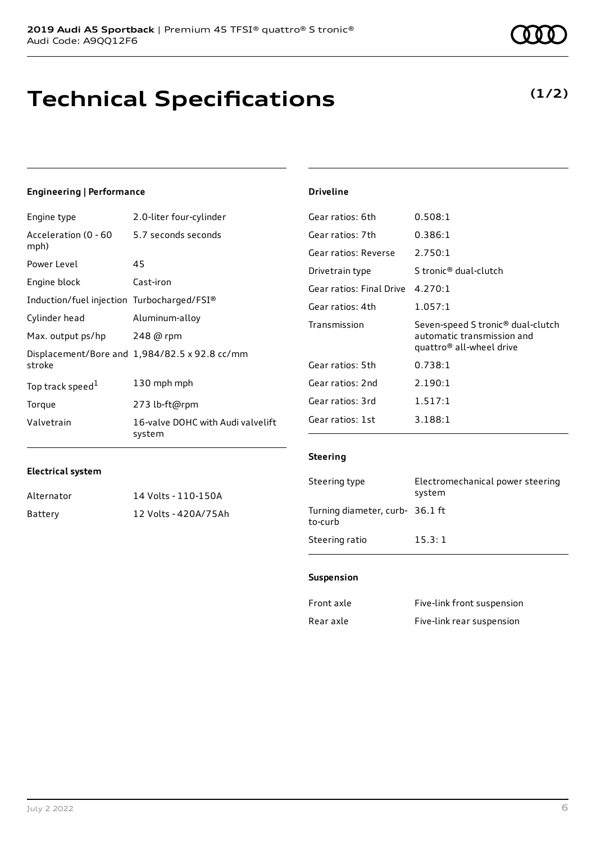# **Technical Specifications**

# **(1/2)**

### **Engineering | Performance**

| Engine type                                | 2.0-liter four-cylinder                       |
|--------------------------------------------|-----------------------------------------------|
| Acceleration (0 - 60<br>mph)               | 5.7 seconds seconds                           |
| Power Level                                | 45                                            |
| Engine block                               | Cast-iron                                     |
| Induction/fuel injection Turbocharged/FSI® |                                               |
| Cylinder head                              | Aluminum-alloy                                |
| Max. output ps/hp                          | 248 @ rpm                                     |
| stroke                                     | Displacement/Bore and 1,984/82.5 x 92.8 cc/mm |
| Top track speed <sup>1</sup>               | 130 mph mph                                   |
| Torque                                     | 273 lb-ft@rpm                                 |
| Valvetrain                                 | 16-valve DOHC with Audi valvelift<br>system   |

| Gear ratios: 6th                 | 0.508:1                                                                                                 |
|----------------------------------|---------------------------------------------------------------------------------------------------------|
| Gear ratios: 7th                 | 0.386:1                                                                                                 |
| Gear ratios: Reverse             | 2.750:1                                                                                                 |
| Drivetrain type                  | S tronic® dual-clutch                                                                                   |
| Gear ratios: Final Drive 4.270:1 |                                                                                                         |
| Gear ratios: 4th                 | 1.057:1                                                                                                 |
| Transmission                     | Seven-speed S tronic® dual-clutch<br>automatic transmission and<br>quattro <sup>®</sup> all-wheel drive |
| Gear ratios: 5th                 | 0.738:1                                                                                                 |
| Gear ratios: 2nd                 | 2.190:1                                                                                                 |
| Gear ratios: 3rd                 | 1.517:1                                                                                                 |
| Gear ratios: 1st                 | 3.188:1                                                                                                 |

#### **Electrical system**

| Alternator | 14 Volts - 110-150A  |
|------------|----------------------|
| Battery    | 12 Volts - 420A/75Ah |

#### **Steering**

**Driveline**

| Steering type                              | Electromechanical power steering<br>system |
|--------------------------------------------|--------------------------------------------|
| Turning diameter, curb- 36.1 ft<br>to-curb |                                            |
| Steering ratio                             | 15.3:1                                     |

#### **Suspension**

| Front axle | Five-link front suspension |
|------------|----------------------------|
| Rear axle  | Five-link rear suspension  |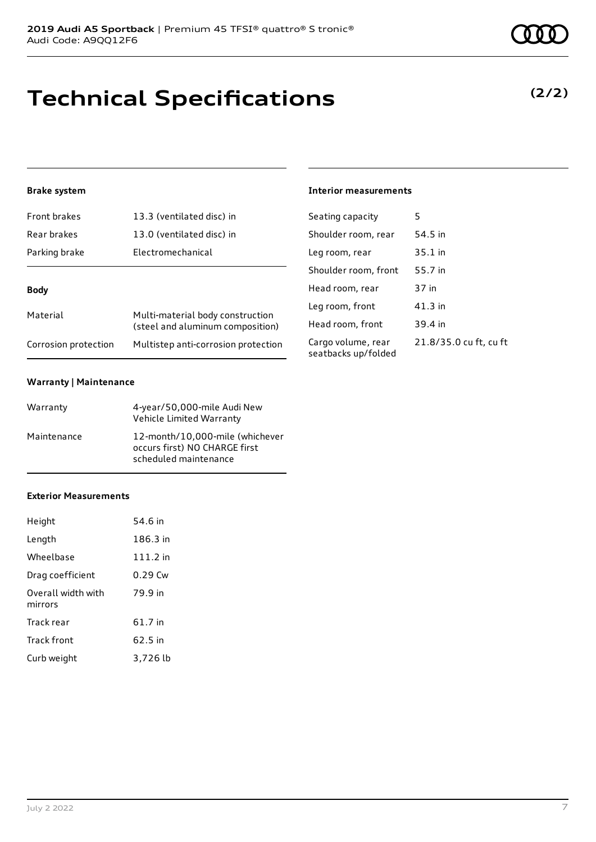# **Technical Specifications**

### **Brake system**

| Front brakes         | 13.3 (ventilated disc) in                                            |  |
|----------------------|----------------------------------------------------------------------|--|
| Rear brakes          | 13.0 (ventilated disc) in                                            |  |
| Parking brake        | Electromechanical                                                    |  |
| Body                 |                                                                      |  |
| Material             | Multi-material body construction<br>(steel and aluminum composition) |  |
| Corrosion protection | Multistep anti-corrosion protection                                  |  |

### **Warranty | Maintenance**

| Warranty    | 4-year/50,000-mile Audi New<br>Vehicle Limited Warranty                                   |
|-------------|-------------------------------------------------------------------------------------------|
| Maintenance | 12-month/10,000-mile (whichever<br>occurs first) NO CHARGE first<br>scheduled maintenance |

### **Exterior Measurements**

| Height                        | 54.6 in   |
|-------------------------------|-----------|
| Length                        | 186.3 in  |
| Wheelbase                     | 111.2 in  |
| Drag coefficient              | $0.29$ Cw |
| Overall width with<br>mirrors | 79.9 in   |
| Track rear                    | 61.7 in   |
| <b>Track front</b>            | 62.5 in   |
| Curb weight                   | 3,726 lb  |

# **Interior measurements**

| Seating capacity                          | 5                      |
|-------------------------------------------|------------------------|
| Shoulder room, rear                       | 54.5 in                |
| Leg room, rear                            | $35.1$ in              |
| Shoulder room, front                      | 55.7 in                |
| Head room, rear                           | 37 in                  |
| Leg room, front                           | 41.3 in                |
| Head room, front                          | 39.4 in                |
| Cargo volume, rear<br>seatbacks up/folded | 21.8/35.0 cu ft, cu ft |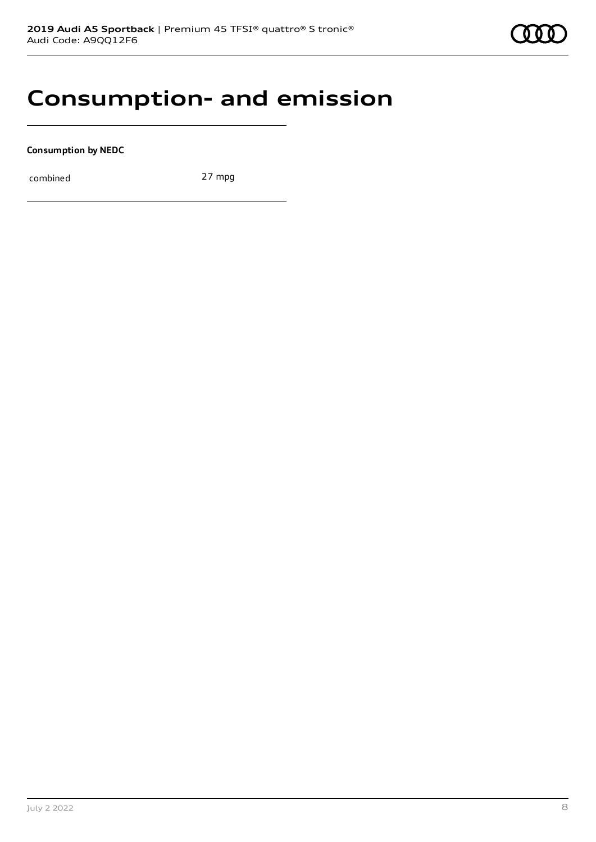# **Consumption- and emission**

**Consumption by NEDC**

combined 27 mpg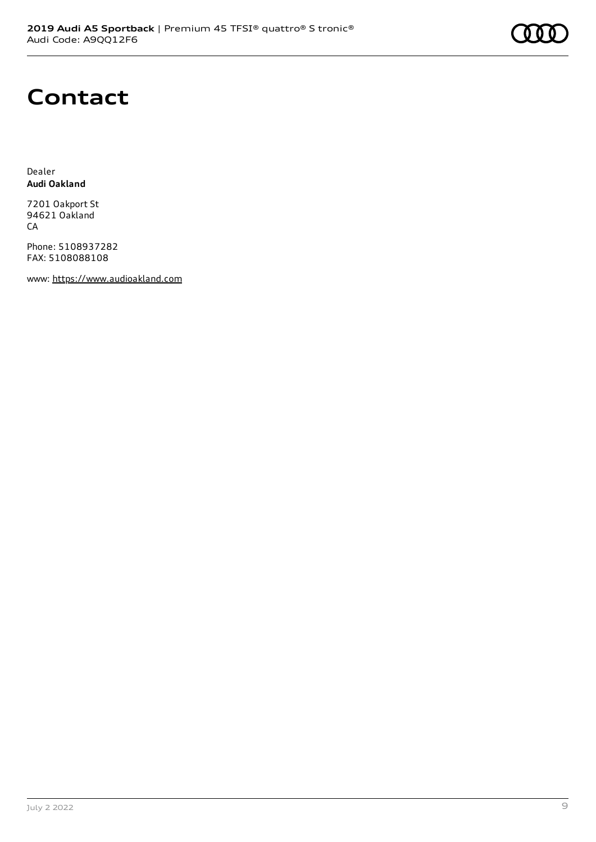

# **Contact**

Dealer **Audi Oakland**

7201 Oakport St 94621 Oakland CA

Phone: 5108937282 FAX: 5108088108

www: [https://www.audioakland.com](https://www.audioakland.com/)